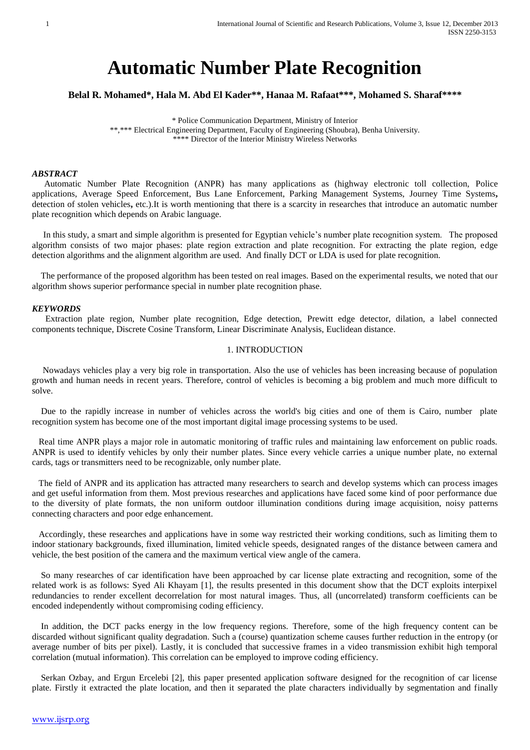# **Automatic Number Plate Recognition**

**Belal R. Mohamed\*, Hala M. Abd El Kader\*\*, Hanaa M. Rafaat\*\*\*, Mohamed S. Sharaf\*\*\*\***

\* Police Communication Department, Ministry of Interior \*\*,\*\*\* Electrical Engineering Department, Faculty of Engineering (Shoubra), Benha University. \*\*\*\* Director of the Interior Ministry Wireless Networks

### *ABSTRACT*

 Automatic Number Plate Recognition (ANPR) has many applications as (highway electronic toll collection, Police applications, Average Speed Enforcement, Bus Lane Enforcement, Parking Management Systems, Journey Time Systems**,** detection of stolen vehicles**,** etc.).It is worth mentioning that there is a scarcity in researches that introduce an automatic number plate recognition which depends on Arabic language.

 In this study, a smart and simple algorithm is presented for Egyptian vehicle's number plate recognition system. The proposed algorithm consists of two major phases: plate region extraction and plate recognition. For extracting the plate region, edge detection algorithms and the alignment algorithm are used. And finally DCT or LDA is used for plate recognition.

 The performance of the proposed algorithm has been tested on real images. Based on the experimental results, we noted that our algorithm shows superior performance special in number plate recognition phase.

#### *KEYWORDS*

Extraction plate region, Number plate recognition, Edge detection, Prewitt edge detector, dilation, a label connected components technique, Discrete Cosine Transform, Linear Discriminate Analysis, Euclidean distance.

#### 1. INTRODUCTION

 Nowadays vehicles play a very big role in transportation. Also the use of vehicles has been increasing because of population growth and human needs in recent years. Therefore, control of vehicles is becoming a big problem and much more difficult to solve.

 Due to the rapidly increase in number of vehicles across the world's big cities and one of them is Cairo, number plate recognition system has become one of the most important digital image processing systems to be used.

 Real time ANPR plays a major role in automatic monitoring of traffic rules and maintaining law enforcement on public roads. ANPR is used to identify vehicles by only their number plates. Since every vehicle carries a unique number plate, no external cards, tags or transmitters need to be recognizable, only number plate.

 The field of ANPR and its application has attracted many researchers to search and develop systems which can process images and get useful information from them. Most previous researches and applications have faced some kind of poor performance due to the diversity of plate formats, the non uniform outdoor illumination conditions during image acquisition, noisy patterns connecting characters and poor edge enhancement.

 Accordingly, these researches and applications have in some way restricted their working conditions, such as limiting them to indoor stationary backgrounds, fixed illumination, limited vehicle speeds, designated ranges of the distance between camera and vehicle, the best position of the camera and the maximum vertical view angle of the camera.

 So many researches of car identification have been approached by car license plate extracting and recognition, some of the related work is as follows: Syed Ali Khayam [1], the results presented in this document show that the DCT exploits interpixel redundancies to render excellent decorrelation for most natural images. Thus, all (uncorrelated) transform coefficients can be encoded independently without compromising coding efficiency.

 In addition, the DCT packs energy in the low frequency regions. Therefore, some of the high frequency content can be discarded without significant quality degradation. Such a (course) quantization scheme causes further reduction in the entropy (or average number of bits per pixel). Lastly, it is concluded that successive frames in a video transmission exhibit high temporal correlation (mutual information). This correlation can be employed to improve coding efficiency.

 Serkan Ozbay, and Ergun Ercelebi [2], this paper presented application software designed for the recognition of car license plate. Firstly it extracted the plate location, and then it separated the plate characters individually by segmentation and finally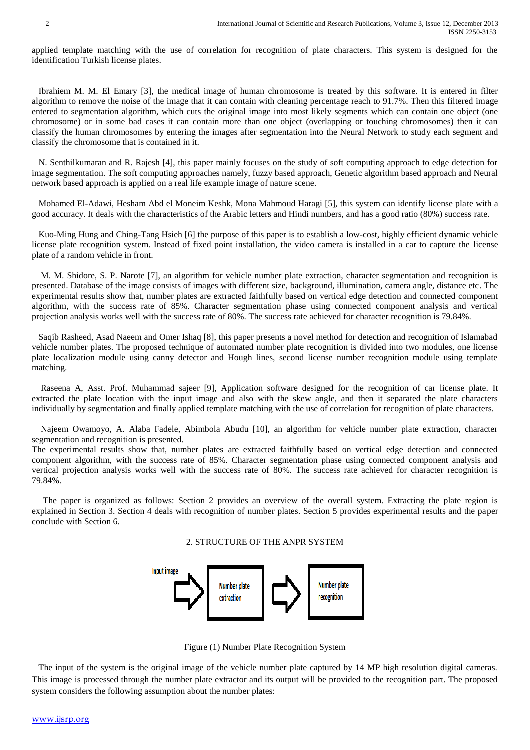applied template matching with the use of correlation for recognition of plate characters. This system is designed for the identification Turkish license plates.

 Ibrahiem M. M. El Emary [3], the medical image of human chromosome is treated by this software. It is entered in filter algorithm to remove the noise of the image that it can contain with cleaning percentage reach to 91.7%. Then this filtered image entered to segmentation algorithm, which cuts the original image into most likely segments which can contain one object (one chromosome) or in some bad cases it can contain more than one object (overlapping or touching chromosomes) then it can classify the human chromosomes by entering the images after segmentation into the Neural Network to study each segment and classify the chromosome that is contained in it.

 N. Senthilkumaran and R. Rajesh [4], this paper mainly focuses on the study of soft computing approach to edge detection for image segmentation. The soft computing approaches namely, fuzzy based approach, Genetic algorithm based approach and Neural network based approach is applied on a real life example image of nature scene.

Mohamed El-Adawi, Hesham Abd el Moneim Keshk, Mona Mahmoud Haragi [5], this system can identify license plate with a good accuracy. It deals with the characteristics of the Arabic letters and Hindi numbers, and has a good ratio (80%) success rate.

 Kuo-Ming Hung and Ching-Tang Hsieh [6] the purpose of this paper is to establish a low-cost, highly efficient dynamic vehicle license plate recognition system. Instead of fixed point installation, the video camera is installed in a car to capture the license plate of a random vehicle in front.

 M. M. Shidore, S. P. Narote [7], an algorithm for vehicle number plate extraction, character segmentation and recognition is presented. Database of the image consists of images with different size, background, illumination, camera angle, distance etc. The experimental results show that, number plates are extracted faithfully based on vertical edge detection and connected component algorithm, with the success rate of 85%. Character segmentation phase using connected component analysis and vertical projection analysis works well with the success rate of 80%. The success rate achieved for character recognition is 79.84%.

 Saqib Rasheed, Asad Naeem and Omer Ishaq [8], this paper presents a novel method for detection and recognition of Islamabad vehicle number plates. The proposed technique of automated number plate recognition is divided into two modules, one license plate localization module using canny detector and Hough lines, second license number recognition module using template matching.

 Raseena A, Asst. Prof. Muhammad sajeer [9], Application software designed for the recognition of car license plate. It extracted the plate location with the input image and also with the skew angle, and then it separated the plate characters individually by segmentation and finally applied template matching with the use of correlation for recognition of plate characters.

 Najeem Owamoyo, A. Alaba Fadele, Abimbola Abudu [10], an algorithm for vehicle number plate extraction, character segmentation and recognition is presented.

The experimental results show that, number plates are extracted faithfully based on vertical edge detection and connected component algorithm, with the success rate of 85%. Character segmentation phase using connected component analysis and vertical projection analysis works well with the success rate of 80%. The success rate achieved for character recognition is 79.84%.

 The paper is organized as follows: Section 2 provides an overview of the overall system. Extracting the plate region is explained in Section 3. Section 4 deals with recognition of number plates. Section 5 provides experimental results and the paper conclude with Section 6.

# 2. STRUCTURE OF THE ANPR SYSTEM



Figure (1) Number Plate Recognition System

 The input of the system is the original image of the vehicle number plate captured by 14 MP high resolution digital cameras. This image is processed through the number plate extractor and its output will be provided to the recognition part. The proposed system considers the following assumption about the number plates: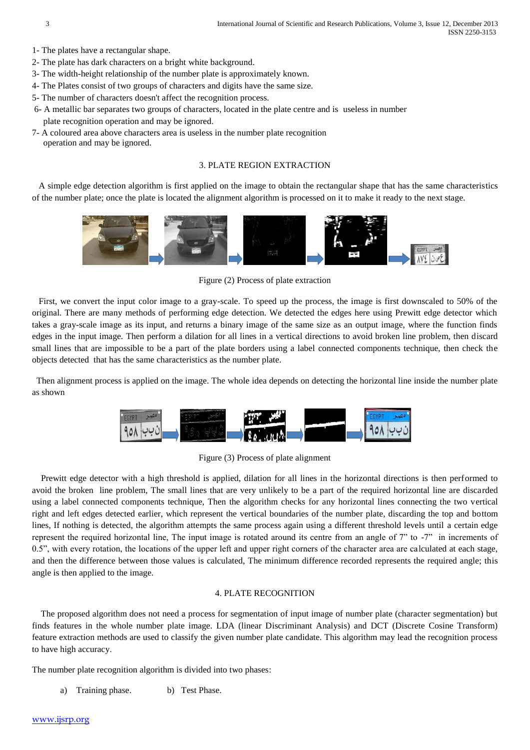- 1- The plates have a rectangular shape.
- 2- The plate has dark characters on a bright white background.
- 3- The width-height relationship of the number plate is approximately known.
- 4- The Plates consist of two groups of characters and digits have the same size.
- 5- The number of characters doesn't affect the recognition process.
- 6- A metallic bar separates two groups of characters, located in the plate centre and is useless in number plate recognition operation and may be ignored.
- 7- A coloured area above characters area is useless in the number plate recognition operation and may be ignored.

## 3. PLATE REGION EXTRACTION

A simple edge detection algorithm is first applied on the image to obtain the rectangular shape that has the same characteristics of the number plate; once the plate is located the alignment algorithm is processed on it to make it ready to the next stage.



Figure (2) Process of plate extraction

 First, we convert the input color image to a gray-scale. To speed up the process, the image is first downscaled to 50% of the original. There are many methods of performing edge detection. We detected the edges here using Prewitt edge detector which takes a gray-scale image as its input, and returns a binary image of the same size as an output image, where the function finds edges in the input image. Then perform a dilation for all lines in a vertical directions to avoid broken line problem, then discard small lines that are impossible to be a part of the plate borders using a label connected components technique, then check the objects detected that has the same characteristics as the number plate.

 Then alignment process is applied on the image. The whole idea depends on detecting the horizontal line inside the number plate as shown



Figure (3) Process of plate alignment

 Prewitt edge detector with a high threshold is applied, dilation for all lines in the horizontal directions is then performed to avoid the broken line problem, The small lines that are very unlikely to be a part of the required horizontal line are discarded using a label connected components technique, Then the algorithm checks for any horizontal lines connecting the two vertical right and left edges detected earlier, which represent the vertical boundaries of the number plate, discarding the top and bottom lines, If nothing is detected, the algorithm attempts the same process again using a different threshold levels until a certain edge represent the required horizontal line, The input image is rotated around its centre from an angle of 7" to -7" in increments of 0.5", with every rotation, the locations of the upper left and upper right corners of the character area are calculated at each stage, and then the difference between those values is calculated, The minimum difference recorded represents the required angle; this angle is then applied to the image.

# 4. PLATE RECOGNITION

 The proposed algorithm does not need a process for segmentation of input image of number plate (character segmentation) but finds features in the whole number plate image. LDA (linear Discriminant Analysis) and DCT (Discrete Cosine Transform) feature extraction methods are used to classify the given number plate candidate. This algorithm may lead the recognition process to have high accuracy.

The number plate recognition algorithm is divided into two phases:

a) Training phase. b) Test Phase.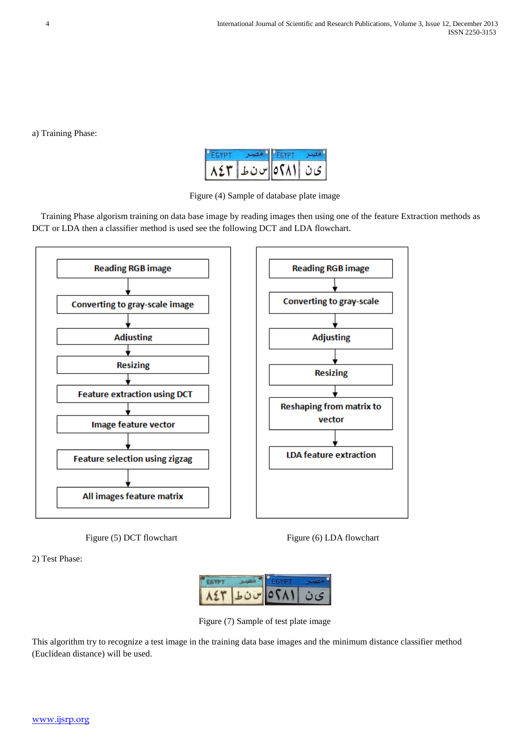a) Training Phase:

| $\bullet$ $\bullet$ $\bullet$ | ا ى ن   ٥٢٨١ س ن ما |  |
|-------------------------------|---------------------|--|

Figure (4) Sample of database plate image

 Training Phase algorism training on data base image by reading images then using one of the feature Extraction methods as DCT or LDA then a classifier method is used see the following DCT and LDA flowchart.





2) Test Phase:



Figure (7) Sample of test plate image

This algorithm try to recognize a test image in the training data base images and the minimum distance classifier method (Euclidean distance) will be used.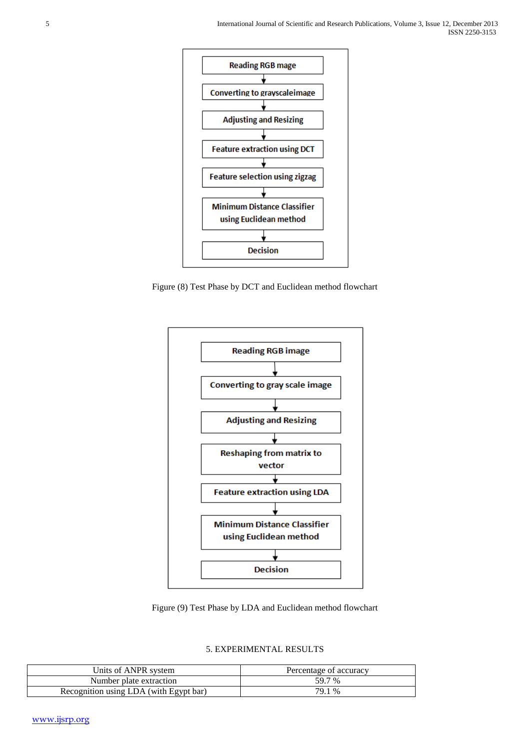

Figure (8) Test Phase by DCT and Euclidean method flowchart



Figure (9) Test Phase by LDA and Euclidean method flowchart

| Units of ANPR system                   | Percentage of accuracy |  |
|----------------------------------------|------------------------|--|
| Number plate extraction                | 59.7 %                 |  |
| Recognition using LDA (with Egypt bar) | 79.1 %                 |  |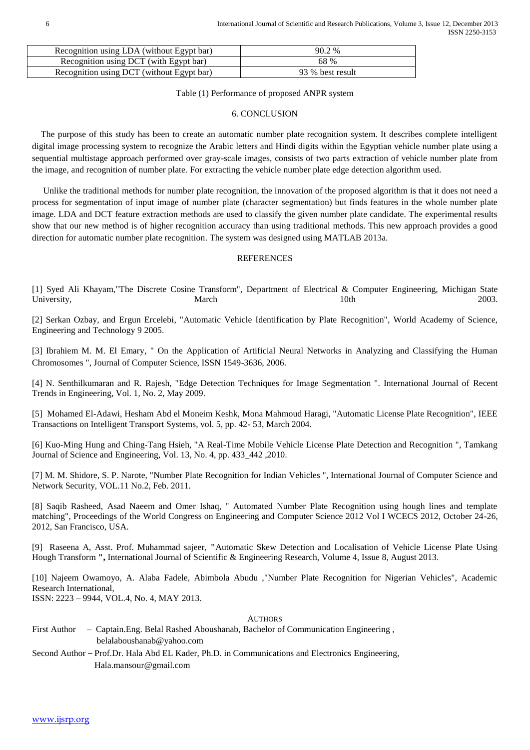| Recognition using LDA (without Egypt bar) | 90.2%            |  |
|-------------------------------------------|------------------|--|
| Recognition using DCT (with Egypt bar)    | 68 %             |  |
| Recognition using DCT (without Egypt bar) | 93 % best result |  |

Table (1) Performance of proposed ANPR system

# 6. CONCLUSION

 The purpose of this study has been to create an automatic number plate recognition system. It describes complete intelligent digital image processing system to recognize the Arabic letters and Hindi digits within the Egyptian vehicle number plate using a sequential multistage approach performed over gray-scale images, consists of two parts extraction of vehicle number plate from the image, and recognition of number plate. For extracting the vehicle number plate edge detection algorithm used.

 Unlike the traditional methods for number plate recognition, the innovation of the proposed algorithm is that it does not need a process for segmentation of input image of number plate (character segmentation) but finds features in the whole number plate image. LDA and DCT feature extraction methods are used to classify the given number plate candidate. The experimental results show that our new method is of higher recognition accuracy than using traditional methods. This new approach provides a good direction for automatic number plate recognition. The system was designed using MATLAB 2013a.

## **REFERENCES**

[1] Syed Ali Khayam,"The Discrete Cosine Transform", Department of Electrical & Computer Engineering, Michigan State University, 2003. March 10th 2003.

[2] Serkan Ozbay, and Ergun Ercelebi, "Automatic Vehicle Identification by Plate Recognition", World Academy of Science, Engineering and Technology 9 2005.

[3] Ibrahiem M. M. El Emary, " On the Application of Artificial Neural Networks in Analyzing and Classifying the Human Chromosomes ", Journal of Computer Science, ISSN 1549-3636, 2006.

[4] N. Senthilkumaran and R. Rajesh, "Edge Detection Techniques for Image Segmentation ". International Journal of Recent Trends in Engineering, Vol. 1, No. 2, May 2009.

[5] Mohamed El-Adawi, Hesham Abd el Moneim Keshk, Mona Mahmoud Haragi, "Automatic License Plate Recognition", IEEE Transactions on Intelligent Transport Systems, vol. 5, pp. 42- 53, March 2004.

[6] Kuo-Ming Hung and Ching-Tang Hsieh, "A Real-Time Mobile Vehicle License Plate Detection and Recognition ", Tamkang Journal of Science and Engineering, Vol. 13, No. 4, pp. 433\_442 ,2010.

[7] M. M. Shidore, S. P. Narote, "Number Plate Recognition for Indian Vehicles ", International Journal of Computer Science and Network Security, VOL.11 No.2, Feb. 2011.

[8] Saqib Rasheed, Asad Naeem and Omer Ishaq, " Automated Number Plate Recognition using hough lines and template matching", Proceedings of the World Congress on Engineering and Computer Science 2012 Vol I WCECS 2012, October 24-26, 2012, San Francisco, USA.

[9] Raseena A, Asst. Prof. Muhammad sajeer, **"**Automatic Skew Detection and Localisation of Vehicle License Plate Using Hough Transform **",** International Journal of Scientific & Engineering Research, Volume 4, Issue 8, August 2013.

[10] Najeem Owamoyo, A. Alaba Fadele, Abimbola Abudu ,"Number Plate Recognition for Nigerian Vehicles", Academic Research International,

ISSN: 2223 – 9944, VOL.4, No. 4, MAY 2013.

#### **AUTHORS**

- First Author Captain.Eng. Belal Rashed Aboushanab, Bachelor of Communication Engineering , belalaboushanab@yahoo.com
- Second Author Prof.Dr. Hala Abd EL Kader, Ph.D. in Communications and Electronics Engineering, Hala.mansour@gmail.com